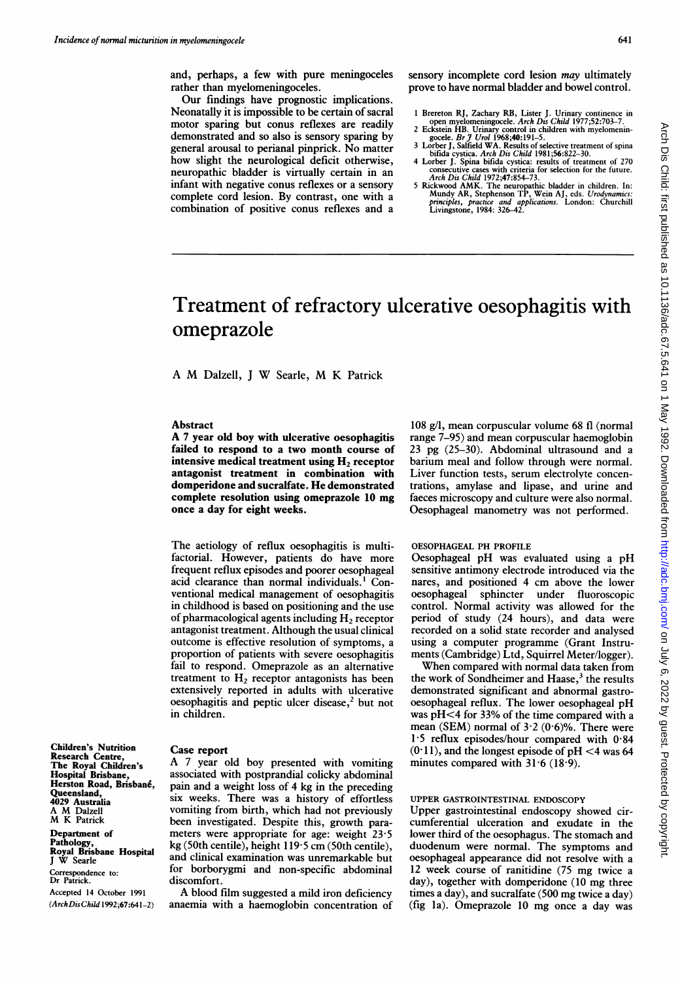Arch Dis Child: first published as 10.1136/adc.67.5.641 on 1 May 1992. Downloaded from http://adc.bmj.com/ on July 6, 2022 by guest. Protected by copyright Arch Dis Child: first published as 10.1136/adc.67.5.641 on 1 May 1992. Downloaded from Intp://adc.bmj.com/ on July 6, 2022 by guest. Protected by copyright.

and, perhaps, a few with pure meningoceles rather than myelomeningoceles.

Our findings have prognostic implications. Neonatally it is impossible to be certain of sacral motor sparing but conus reflexes are readily demonstrated and so also is sensory sparing by general arousal to perianal pinprick. No matter how slight the neurological deficit otherwise, neuropathic bladder is virtually certain in an infant with negative conus reflexes or a sensory complete cord lesion. By contrast, one with a combination of positive conus reflexes and a sensory incomplete cord lesion *may* ultimately prove to have normal bladder and bowel control.

- 
- 1 Brereton RJ, Zachary RB, Lister J. Urinary continence in<br>
2 copen myelomening coele. Arch Dis Child 1977;52:703-7.<br>
2 Eckstein HB. Urinary control in children with myelomening<br>
gocele. Br J Urol 1968;40:191-5.<br>
3 Lovber
- 
- 4 Lorber J. Spina bifida cystica: results of treatment of 270 consecutive cases with criteria for selection for the future. Arch Dis Child 1972;47:854-73.
- 5 Rickwood AMK. The neuropathic bladder in children. In:<br>Mundy AR, Stephenson TP, Wein AJ, eds. Urodynamics:<br>principles, practice and applications. London: Churchill<br>Livingstone, 1984: 326–42.

# Treatment of refractory ulcerative oesophagitis with omeprazole

A M Daizell, <sup>J</sup> W Searle, M K Patrick

## Abstract

A <sup>7</sup> year old boy with ulcerative oesophagitis failed to respond to a two month course of intensive medical treatment using  $H<sub>2</sub>$  receptor antagonist treatment in combination with domperidone and sucralfate. He demonstrated complete resolution using omeprazole <sup>10</sup> mg once a day for eight weeks.

The aetiology of reflux oesophagitis is multifactorial. However, patients do have more frequent reflux episodes and poorer oesophageal acid clearance than normal individuals.' Conventional medical management of oesophagitis in childhood is based on positioning and the use of pharmacological agents including  $H<sub>2</sub>$  receptor antagonist treatment. Although the usual clinical outcome is effective resolution of symptoms, <sup>a</sup> proportion of patients with severe oesophagitis fail to respond. Omeprazole as an alternative treatment to  $H_2$  receptor antagonists has been extensively reported in adults with ulcerative oesophagitis and peptic ulcer disease, $<sup>2</sup>$  but not</sup> in children.

Case report

A <sup>7</sup> year old boy presented with vomiting associated with postprandial colicky abdominal pain and a weight loss of 4 kg in the preceding six weeks. There was a history of effortless vomiting from birth, which had not previously been investigated. Despite this, growth parameters were appropriate for age: weight 23 5 kg (50th centile), height 119-5 cm (50th centile), and clinical examination was unremarkable but for borborygmi and non-specific abdominal discomfort.

A blood film suggested <sup>a</sup> mild iron deficiency anaemia with a haemoglobin concentration of

108 g/l, mean corpuscular volume 68 fl (normal range 7-95) and mean corpuscular haemoglobin 23 pg (25-30). Abdominal ultrasound and a barium meal and follow through were normal. Liver function tests, serum electrolyte concentrations, amylase and lipase, and urine and faeces microscopy and culture were also normal. Oesophageal manometry was not performed.

#### OESOPHAGEAL PH PROFILE

Oesophageal pH was evaluated using <sup>a</sup> pH sensitive antimony electrode introduced via the nares, and positioned 4 cm above the lower oesophageal sphincter under fluoroscopic control. Normal activity was allowed for the period of study (24 hours), and data were recorded on a solid state recorder and analysed using a computer programme (Grant Instruments (Cambridge) Ltd, Squirrel Meter/logger).

When compared with normal data taken from the work of Sondheimer and Haase, $3$  the results demonstrated significant and abnormal gastrooesophageal reflux. The lower oesophageal pH was pH<4 for 33% of the time compared with <sup>a</sup> mean (SEM) normal of  $3.2 (0.6)$ %. There were 1-5 reflux episodes/hour compared with 0-84  $(0.11)$ , and the longest episode of pH <4 was 64 minutes compared with  $31.6$  (18.9).

# UPPER GASTROINTESTINAL ENDOSCOPY

Upper gastrointestinal endoscopy showed circumferential ulceration and exudate in the lower third of the oesophagus. The stomach and duodenum were normal. The symptoms and oesophageal appearance did not resolve with a <sup>12</sup> week course of ranitidine (75 mg twice <sup>a</sup> day), together with domperidone (10 mg three times <sup>a</sup> day), and sucralfate (500 mg twice <sup>a</sup> day) (fig la). Omeprazole <sup>10</sup> mg once <sup>a</sup> day was

Research Centre, The Royal Children's Hospital Brisbane, Herston Road, Brisbané, Queensland, 4029 Australia A M Daizell M K Patrick Department of

Children's Nutrition

Pathology, Royal Brisbane Hospital <sup>J</sup> W Searle

Correspondence to: Dr Patrick.

Accepted 14 October 1991 (ArchDisChild 1992;67:641-2)